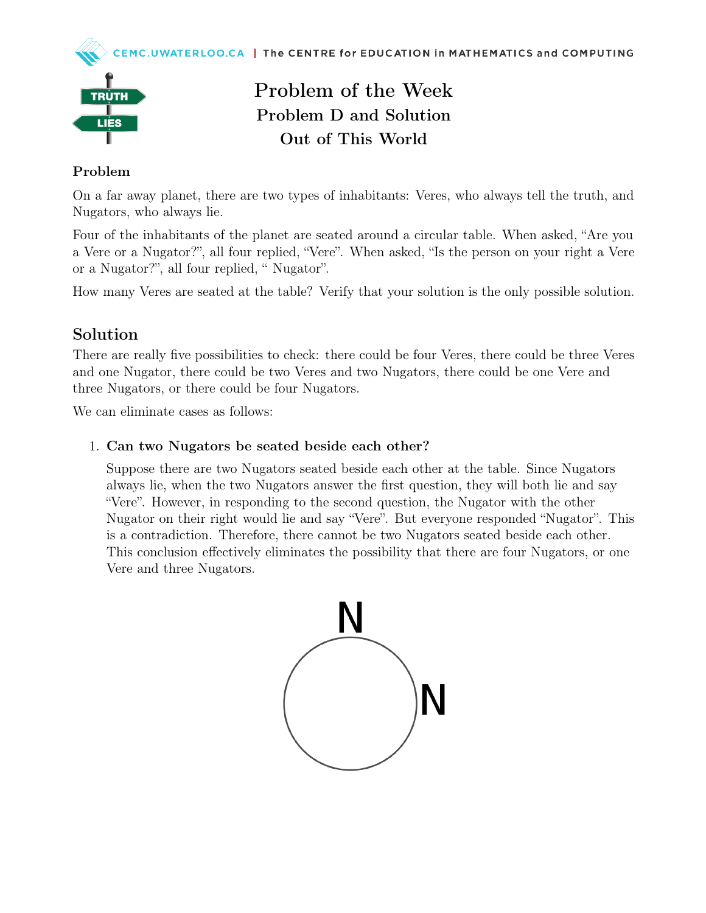



# Problem of the Week Problem D and Solution Out of This World

### Problem

On a far away planet, there are two types of inhabitants: Veres, who always tell the truth, and Nugators, who always lie.

Four of the inhabitants of the planet are seated around a circular table. When asked, "Are you a Vere or a Nugator?", all four replied, "Vere". When asked, "Is the person on your right a Vere or a Nugator?", all four replied, " Nugator".

How many Veres are seated at the table? Verify that your solution is the only possible solution.

## Solution

There are really five possibilities to check: there could be four Veres, there could be three Veres and one Nugator, there could be two Veres and two Nugators, there could be one Vere and three Nugators, or there could be four Nugators.

We can eliminate cases as follows:

### 1. Can two Nugators be seated beside each other?

Suppose there are two Nugators seated beside each other at the table. Since Nugators always lie, when the two Nugators answer the first question, they will both lie and say "Vere". However, in responding to the second question, the Nugator with the other Nugator on their right would lie and say "Vere". But everyone responded "Nugator". This is a contradiction. Therefore, there cannot be two Nugators seated beside each other. This conclusion effectively eliminates the possibility that there are four Nugators, or one Vere and three Nugators.